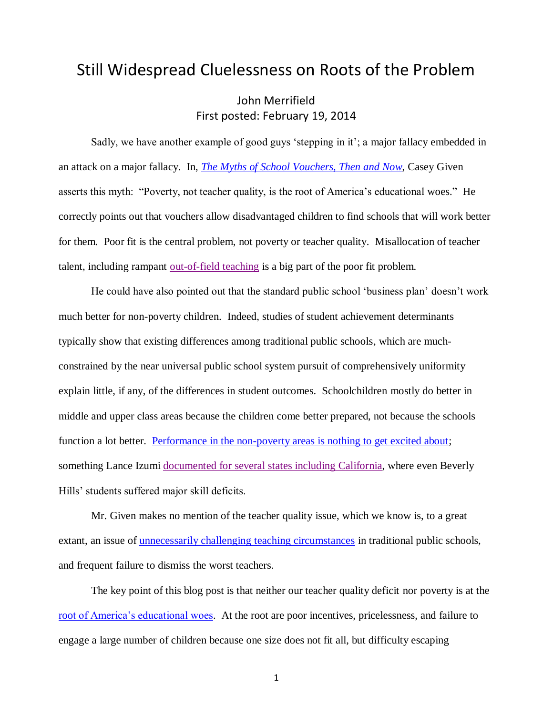## Still Widespread Cluelessness on Roots of the Problem

John Merrifield First posted: February 19, 2014

Sadly, we have another example of good guys 'stepping in it'; a major fallacy embedded in an attack on a major fallacy. In, *[The Myths of School Vouchers, Then and Now](http://www.fee.org/the_freeman/detail/the-myths-of-school-vouchers-then-and-now#ixzz2uBga16Wv)*, Casey Given asserts this myth: "Poverty, not teacher quality, is the root of America's educational woes." He correctly points out that vouchers allow disadvantaged children to find schools that will work better for them. Poor fit is the central problem, not poverty or teacher quality. Misallocation of teacher talent, including rampant [out-of-field teaching](http://www.schoolsystemreformstudies.net/wp-content/uploads/2016/10/How-to-Improve-Instruction.pdf) is a big part of the poor fit problem.

He could have also pointed out that the standard public school 'business plan' doesn't work much better for non-poverty children. Indeed, studies of student achievement determinants typically show that existing differences among traditional public schools, which are muchconstrained by the near universal public school system pursuit of comprehensively uniformity explain little, if any, of the differences in student outcomes. Schoolchildren mostly do better in middle and upper class areas because the children come better prepared, not because the schools function a lot better. [Performance in the non-poverty areas is nothing to get excited about;](http://nebula.wsimg.com/a3f8d9653170f218e17f8acac983c686?AccessKeyId=DA21FC8554A675E9CF7B&disposition=0&alloworigin=1) something Lance Izumi documented for [several states including](http://www.schoolsystemreformstudies.net/wp-content/uploads/2016/11/NAGAYT-Izumi.pdf) California, where even Beverly Hills' students suffered major skill deficits.

Mr. Given makes no mention of the teacher quality issue, which we know is, to a great extant, an issue of <u>unnecessarily challenging teaching circumstances</u> in traditional public schools, and frequent failure to dismiss the worst teachers.

The key point of this blog post is that neither our teacher quality deficit nor poverty is at the [root of America's educational woes.](http://nebula.wsimg.com/de7a505e69a5da1955afc3fa273fe806?AccessKeyId=DA21FC8554A675E9CF7B&disposition=0&alloworigin=1) At the root are poor incentives, pricelessness, and failure to engage a large number of children because one size does not fit all, but difficulty escaping